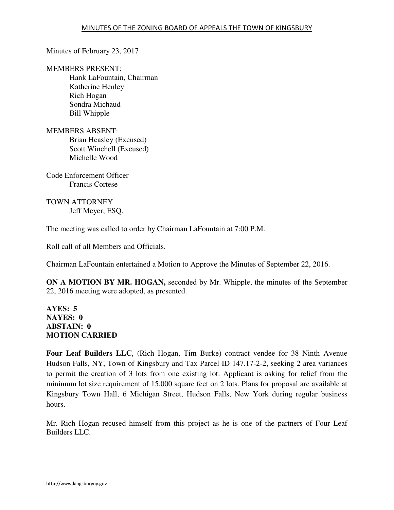Minutes of February 23, 2017

MEMBERS PRESENT:

Hank LaFountain, Chairman Katherine Henley Rich Hogan Sondra Michaud Bill Whipple

MEMBERS ABSENT: Brian Heasley (Excused) Scott Winchell (Excused) Michelle Wood

Code Enforcement Officer Francis Cortese

TOWN ATTORNEY Jeff Meyer, ESQ.

The meeting was called to order by Chairman LaFountain at 7:00 P.M.

Roll call of all Members and Officials.

Chairman LaFountain entertained a Motion to Approve the Minutes of September 22, 2016.

**ON A MOTION BY MR. HOGAN,** seconded by Mr. Whipple, the minutes of the September 22, 2016 meeting were adopted, as presented.

# **AYES: 5 NAYES: 0 ABSTAIN: 0 MOTION CARRIED**

**Four Leaf Builders LLC**, (Rich Hogan, Tim Burke) contract vendee for 38 Ninth Avenue Hudson Falls, NY, Town of Kingsbury and Tax Parcel ID 147.17-2-2, seeking 2 area variances to permit the creation of 3 lots from one existing lot. Applicant is asking for relief from the minimum lot size requirement of 15,000 square feet on 2 lots. Plans for proposal are available at Kingsbury Town Hall, 6 Michigan Street, Hudson Falls, New York during regular business hours.

Mr. Rich Hogan recused himself from this project as he is one of the partners of Four Leaf Builders LLC.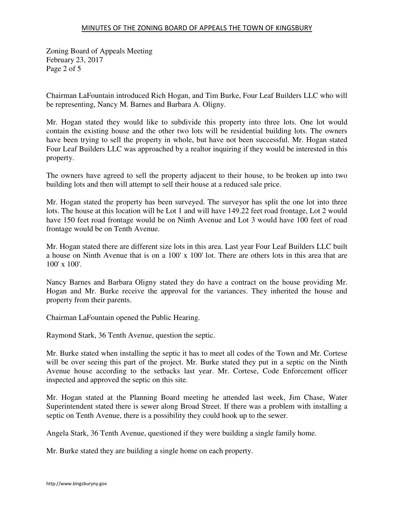Zoning Board of Appeals Meeting February 23, 2017 Page 2 of 5

Chairman LaFountain introduced Rich Hogan, and Tim Burke, Four Leaf Builders LLC who will be representing, Nancy M. Barnes and Barbara A. Oligny.

Mr. Hogan stated they would like to subdivide this property into three lots. One lot would contain the existing house and the other two lots will be residential building lots. The owners have been trying to sell the property in whole, but have not been successful. Mr. Hogan stated Four Leaf Builders LLC was approached by a realtor inquiring if they would be interested in this property.

The owners have agreed to sell the property adjacent to their house, to be broken up into two building lots and then will attempt to sell their house at a reduced sale price.

Mr. Hogan stated the property has been surveyed. The surveyor has split the one lot into three lots. The house at this location will be Lot 1 and will have 149.22 feet road frontage, Lot 2 would have 150 feet road frontage would be on Ninth Avenue and Lot 3 would have 100 feet of road frontage would be on Tenth Avenue.

Mr. Hogan stated there are different size lots in this area. Last year Four Leaf Builders LLC built a house on Ninth Avenue that is on a 100' x 100' lot. There are others lots in this area that are 100' x 100'.

Nancy Barnes and Barbara Oligny stated they do have a contract on the house providing Mr. Hogan and Mr. Burke receive the approval for the variances. They inherited the house and property from their parents.

Chairman LaFountain opened the Public Hearing.

Raymond Stark, 36 Tenth Avenue, question the septic.

Mr. Burke stated when installing the septic it has to meet all codes of the Town and Mr. Cortese will be over seeing this part of the project. Mr. Burke stated they put in a septic on the Ninth Avenue house according to the setbacks last year. Mr. Cortese, Code Enforcement officer inspected and approved the septic on this site.

Mr. Hogan stated at the Planning Board meeting he attended last week, Jim Chase, Water Superintendent stated there is sewer along Broad Street. If there was a problem with installing a septic on Tenth Avenue, there is a possibility they could hook up to the sewer.

Angela Stark, 36 Tenth Avenue, questioned if they were building a single family home.

Mr. Burke stated they are building a single home on each property.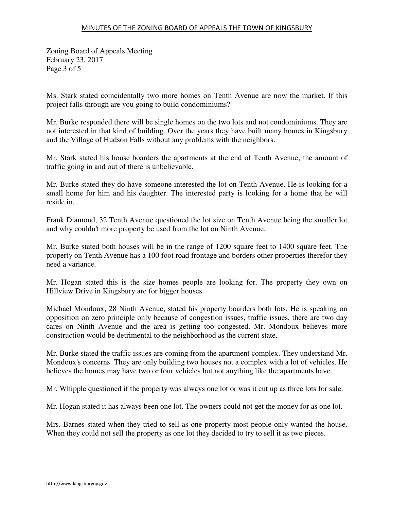## MINUTES OF THE ZONING BOARD OF APPEALS THE TOWN OF KINGSBURY

Zoning Board of Appeals Meeting February 23, 2017 Page 3 of 5

Ms. Stark stated coincidentally two more homes on Tenth Avenue are now the market. If this project falls through are you going to build condominiums?

Mr. Burke responded there will be single homes on the two lots and not condominiums. They are not interested in that kind of building. Over the years they have built many homes in Kingsbury and the Village of Hudson Falls without any problems with the neighbors.

Mr. Stark stated his house boarders the apartments at the end of Tenth Avenue; the amount of traffic going in and out of there is unbelievable.

Mr. Burke stated they do have someone interested the lot on Tenth Avenue. He is looking for a small home for him and his daughter. The interested party is looking for a home that he will reside in.

Frank Diamond, 32 Tenth Avenue questioned the lot size on Tenth Avenue being the smaller lot and why couldn't more property be used from the lot on Ninth Avenue.

Mr. Burke stated both houses will be in the range of 1200 square feet to 1400 square feet. The property on Tenth Avenue has a 100 foot road frontage and borders other properties therefor they need a variance.

Mr. Hogan stated this is the size homes people are looking for. The property they own on Hillview Drive in Kingsbury are for bigger houses.

Michael Mondoux, 28 Ninth Avenue, stated his property boarders both lots. He is speaking on opposition on zero principle only because of congestion issues, traffic issues, there are two day cares on Ninth Avenue and the area is getting too congested. Mr. Mondoux believes more construction would be detrimental to the neighborhood as the current state.

Mr. Burke stated the traffic issues are coming from the apartment complex. They understand Mr. Mondoux's concerns. They are only building two houses not a complex with a lot of vehicles. He believes the homes may have two or four vehicles but not anything like the apartments have.

Mr. Whipple questioned if the property was always one lot or was it cut up as three lots for sale.

Mr. Hogan stated it has always been one lot. The owners could not get the money for as one lot.

Mrs. Barnes stated when they tried to sell as one property most people only wanted the house. When they could not sell the property as one lot they decided to try to sell it as two pieces.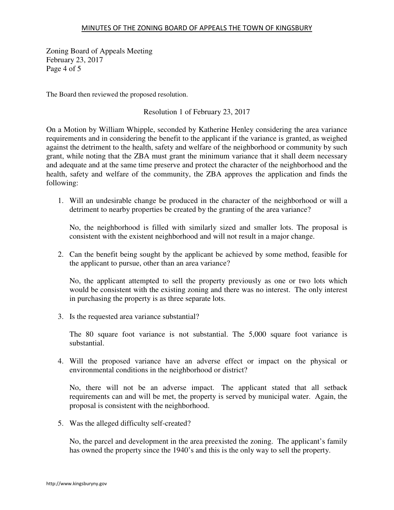### MINUTES OF THE ZONING BOARD OF APPEALS THE TOWN OF KINGSBURY

Zoning Board of Appeals Meeting February 23, 2017 Page 4 of 5

The Board then reviewed the proposed resolution.

Resolution 1 of February 23, 2017

On a Motion by William Whipple, seconded by Katherine Henley considering the area variance requirements and in considering the benefit to the applicant if the variance is granted, as weighed against the detriment to the health, safety and welfare of the neighborhood or community by such grant, while noting that the ZBA must grant the minimum variance that it shall deem necessary and adequate and at the same time preserve and protect the character of the neighborhood and the health, safety and welfare of the community, the ZBA approves the application and finds the following:

1. Will an undesirable change be produced in the character of the neighborhood or will a detriment to nearby properties be created by the granting of the area variance?

No, the neighborhood is filled with similarly sized and smaller lots. The proposal is consistent with the existent neighborhood and will not result in a major change.

2. Can the benefit being sought by the applicant be achieved by some method, feasible for the applicant to pursue, other than an area variance?

No, the applicant attempted to sell the property previously as one or two lots which would be consistent with the existing zoning and there was no interest. The only interest in purchasing the property is as three separate lots.

3. Is the requested area variance substantial?

The 80 square foot variance is not substantial. The 5,000 square foot variance is substantial.

4. Will the proposed variance have an adverse effect or impact on the physical or environmental conditions in the neighborhood or district?

No, there will not be an adverse impact. The applicant stated that all setback requirements can and will be met, the property is served by municipal water. Again, the proposal is consistent with the neighborhood.

5. Was the alleged difficulty self-created?

No, the parcel and development in the area preexisted the zoning. The applicant's family has owned the property since the 1940's and this is the only way to sell the property.